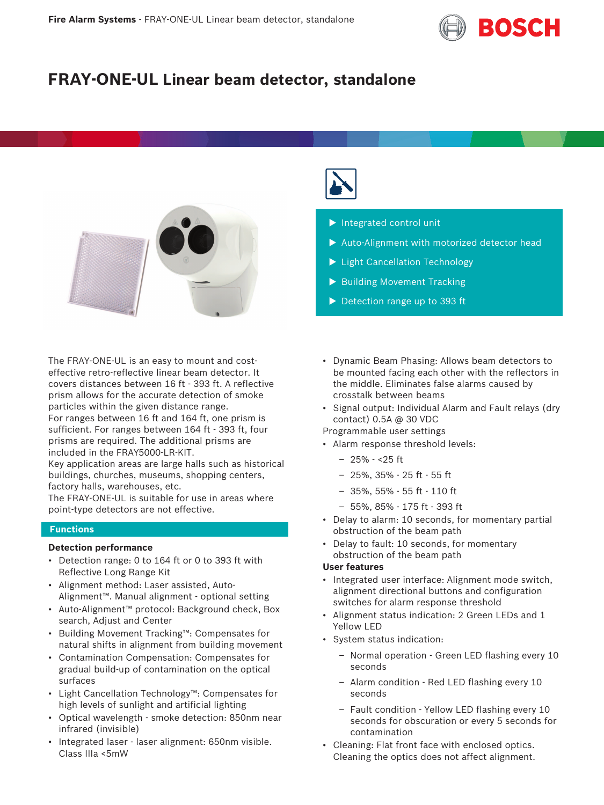

# **FRAY-ONE-UL Linear beam detector, standalone**



The FRAY-ONE-UL is an easy to mount and costeffective retro-reflective linear beam detector. It covers distances between 16 ft - 393 ft. A reflective prism allows for the accurate detection of smoke particles within the given distance range. For ranges between 16 ft and 164 ft, one prism is sufficient. For ranges between 164 ft - 393 ft, four prisms are required. The additional prisms are included in the FRAY5000-LR-KIT.

Key application areas are large halls such as historical buildings, churches, museums, shopping centers, factory halls, warehouses, etc.

The FRAY-ONE-UL is suitable for use in areas where point-type detectors are not effective.

## **Functions**

### **Detection performance**

- Detection range: 0 to 164 ft or 0 to 393 ft with Reflective Long Range Kit
- Alignment method: Laser assisted, Auto-Alignment™. Manual alignment - optional setting
- Auto-Alignment™ protocol: Background check, Box search, Adjust and Center
- Building Movement Tracking™: Compensates for natural shifts in alignment from building movement
- Contamination Compensation: Compensates for gradual build-up of contamination on the optical surfaces
- Light Cancellation Technology™: Compensates for high levels of sunlight and artificial lighting
- Optical wavelength smoke detection: 850nm near infrared (invisible)
- Integrated laser laser alignment: 650nm visible. Class IIIa <5mW



- $\blacktriangleright$  Integrated control unit
- $\blacktriangleright$  Auto-Alignment with motorized detector head
- $\blacktriangleright$  Light Cancellation Technology
- $\blacktriangleright$  Building Movement Tracking
- $\triangleright$  Detection range up to 393 ft
- Dynamic Beam Phasing: Allows beam detectors to be mounted facing each other with the reflectors in the middle. Eliminates false alarms caused by crosstalk between beams
- Signal output: Individual Alarm and Fault relays (dry contact) 0.5A @ 30 VDC
- Programmable user settings
- Alarm response threshold levels:
	- $-25% 25$  ft
	- 25%, 35% 25 ft 55 ft
	- 35%, 55% 55 ft 110 ft
	- 55%, 85% 175 ft 393 ft
- Delay to alarm: 10 seconds, for momentary partial obstruction of the beam path
- Delay to fault: 10 seconds, for momentary obstruction of the beam path

### **User features**

- Integrated user interface: Alignment mode switch, alignment directional buttons and configuration switches for alarm response threshold
- Alignment status indication: 2 Green LEDs and 1 Yellow LED
- System status indication:
	- Normal operation Green LED flashing every 10 seconds
	- Alarm condition Red LED flashing every 10 seconds
	- Fault condition Yellow LED flashing every 10 seconds for obscuration or every 5 seconds for contamination
- Cleaning: Flat front face with enclosed optics. Cleaning the optics does not affect alignment.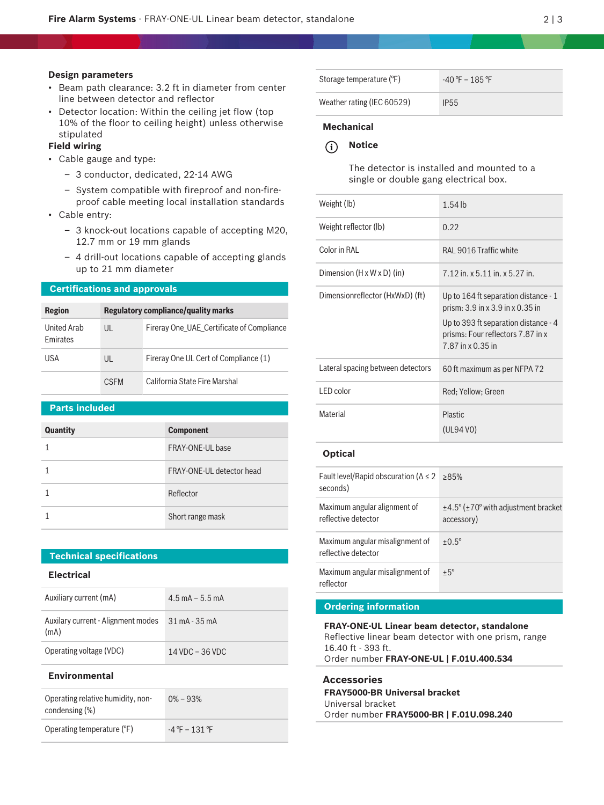### **Design parameters**

- Beam path clearance: 3.2 ft in diameter from center line between detector and reflector
- Detector location: Within the ceiling jet flow (top 10% of the floor to ceiling height) unless otherwise stipulated

### **Field wiring**

- Cable gauge and type:
	- 3 conductor, dedicated, 22-14 AWG
	- System compatible with fireproof and non-fire-
- proof cable meeting local installation standards • Cable entry:
	- 3 knock-out locations capable of accepting M20, 12.7 mm or 19 mm glands
	- 4 drill-out locations capable of accepting glands up to 21 mm diameter

## **Certifications and approvals**

| <b>Region</b>                  | <b>Regulatory compliance/quality marks</b> |                                           |
|--------------------------------|--------------------------------------------|-------------------------------------------|
| United Arab<br><b>Emirates</b> | UL                                         | Fireray One UAE Certificate of Compliance |
| USA                            | UL                                         | Fireray One UL Cert of Compliance (1)     |
|                                | <b>CSEM</b>                                | California State Fire Marshal             |

| <b>Parts included</b> |                           |
|-----------------------|---------------------------|
| Quantity              | <b>Component</b>          |
|                       | FRAY-ONE-UL base          |
|                       | FRAY-ONE-UL detector head |
|                       | Reflector                 |
|                       | Short range mask          |

### **Technical specifications**

### **Electrical**

| Auxiliary current (mA)                                   | $4.5 \text{ mA} - 5.5 \text{ mA}$ |
|----------------------------------------------------------|-----------------------------------|
| Auxilary current - Alignment modes 31 mA - 35 mA<br>(mA) |                                   |
| Operating voltage (VDC)                                  | $14$ VDC $-$ 36 VDC               |

### **Environmental**

| Operating relative humidity, non-<br>condensing $(\%)$ | $0\% - 93\%$      |
|--------------------------------------------------------|-------------------|
| Operating temperature (°F)                             | $-4$ °F $-131$ °F |

| Storage temperature (°F)   | $-40$ °F $-185$ °F |
|----------------------------|--------------------|
| Weather rating (IEC 60529) | IP <sub>55</sub>   |

## **Mechanical**

### **i Notice**

The detector is installed and mounted to a single or double gang electrical box.

| Weight (lb)                            | $1.54$ lb                                                                                                                                                                   |
|----------------------------------------|-----------------------------------------------------------------------------------------------------------------------------------------------------------------------------|
| Weight reflector (lb)                  | 0.22                                                                                                                                                                        |
| Color in RAL                           | RAL 9016 Traffic white                                                                                                                                                      |
| Dimension $(H \times W \times D)$ (in) | 7.12 in. x 5.11 in. x 5.27 in.                                                                                                                                              |
| Dimensionreflector (HxWxD) (ft)        | Up to 164 ft separation distance $-1$<br>prism: 3.9 in x 3.9 in x 0.35 in<br>Up to 393 ft separation distance - 4<br>prisms: Four reflectors 7.87 in x<br>7.87 in x 0.35 in |
| Lateral spacing between detectors      | 60 ft maximum as per NFPA 72                                                                                                                                                |
| LED color                              | Red: Yellow: Green                                                                                                                                                          |
| Material                               | <b>Plastic</b><br>(UL94V0)                                                                                                                                                  |

### **Optical**

| Fault level/Rapid obscuration ( $\Delta \leq 2 \geq 85\%$ )<br>seconds) |                                                                                |
|-------------------------------------------------------------------------|--------------------------------------------------------------------------------|
| Maximum angular alignment of<br>reflective detector                     | $\pm$ 4.5 $\degree$ ( $\pm$ 70 $\degree$ with adjustment bracket<br>accessory) |
| Maximum angular misalignment of<br>reflective detector                  | $+0.5^{\circ}$                                                                 |
| Maximum angular misalignment of<br>reflector                            | $±5^\circ$                                                                     |
|                                                                         |                                                                                |

### **Ordering information**

**FRAY-ONE-UL Linear beam detector, standalone** Reflective linear beam detector with one prism, range 16.40 ft - 393 ft. Order number **FRAY-ONE-UL | F.01U.400.534**

# **Accessories**

### **FRAY5000-BR Universal bracket** Universal bracket Order number **FRAY5000-BR | F.01U.098.240**